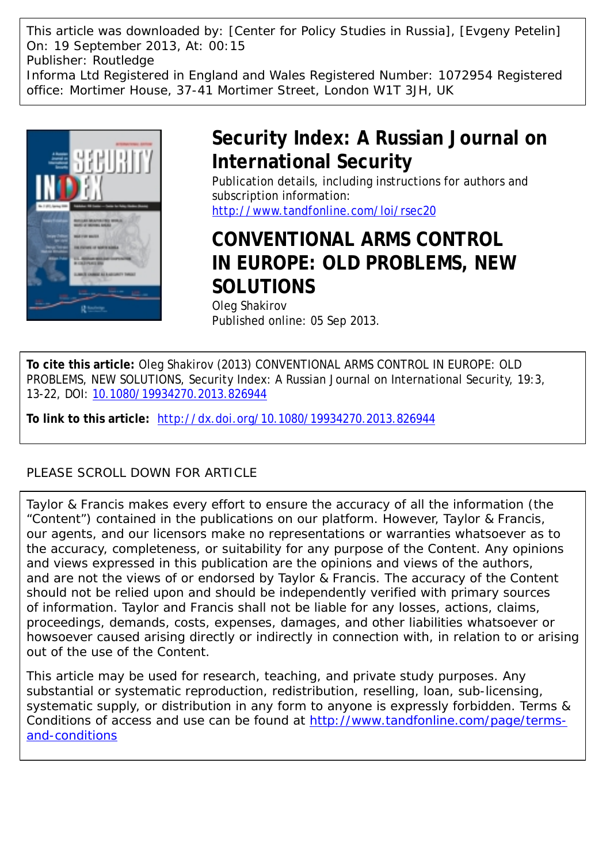This article was downloaded by: [Center for Policy Studies in Russia], [Evgeny Petelin] On: 19 September 2013, At: 00:15 Publisher: Routledge Informa Ltd Registered in England and Wales Registered Number: 1072954 Registered office: Mortimer House, 37-41 Mortimer Street, London W1T 3JH, UK



# **Security Index: A Russian Journal on International Security**

Publication details, including instructions for authors and subscription information: <http://www.tandfonline.com/loi/rsec20>

# **CONVENTIONAL ARMS CONTROL IN EUROPE: OLD PROBLEMS, NEW SOLUTIONS**

Oleg Shakirov Published online: 05 Sep 2013.

**To cite this article:** Oleg Shakirov (2013) CONVENTIONAL ARMS CONTROL IN EUROPE: OLD PROBLEMS, NEW SOLUTIONS, Security Index: A Russian Journal on International Security, 19:3, 13-22, DOI: [10.1080/19934270.2013.826944](http://www.tandfonline.com/action/showCitFormats?doi=10.1080/19934270.2013.826944)

**To link to this article:** <http://dx.doi.org/10.1080/19934270.2013.826944>

# PLEASE SCROLL DOWN FOR ARTICLE

Taylor & Francis makes every effort to ensure the accuracy of all the information (the "Content") contained in the publications on our platform. However, Taylor & Francis, our agents, and our licensors make no representations or warranties whatsoever as to the accuracy, completeness, or suitability for any purpose of the Content. Any opinions and views expressed in this publication are the opinions and views of the authors, and are not the views of or endorsed by Taylor & Francis. The accuracy of the Content should not be relied upon and should be independently verified with primary sources of information. Taylor and Francis shall not be liable for any losses, actions, claims, proceedings, demands, costs, expenses, damages, and other liabilities whatsoever or howsoever caused arising directly or indirectly in connection with, in relation to or arising out of the use of the Content.

This article may be used for research, teaching, and private study purposes. Any substantial or systematic reproduction, redistribution, reselling, loan, sub-licensing, systematic supply, or distribution in any form to anyone is expressly forbidden. Terms & Conditions of access and use can be found at [http://www.tandfonline.com/page/terms](http://www.tandfonline.com/page/terms-and-conditions)[and-conditions](http://www.tandfonline.com/page/terms-and-conditions)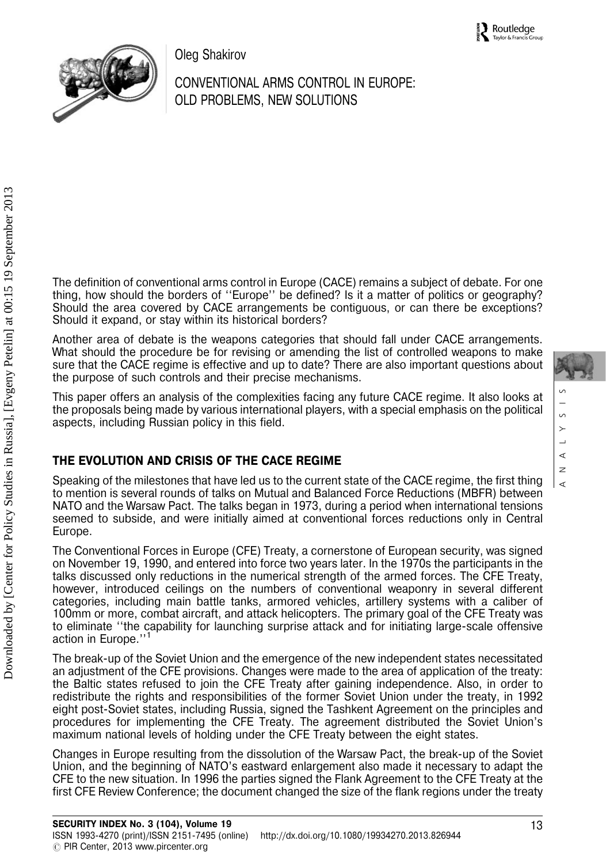



Downloaded by [Center for Policy Studies in Russia], [Evgeny Petelin] at 00:15 19 September 2013

Downloaded by [Center for Policy Studies in Russia], [Evgeny Petelin] at 00:15 19 September 201

Oleg Shakirov

CONVENTIONAL ARMS CONTROL IN EUROPE: OLD PROBLEMS, NEW SOLUTIONS

The definition of conventional arms control in Europe (CACE) remains a subject of debate. For one thing, how should the borders of ''Europe'' be defined? Is it a matter of politics or geography? Should the area covered by CACE arrangements be contiguous, or can there be exceptions? Should it expand, or stay within its historical borders?

Another area of debate is the weapons categories that should fall under CACE arrangements. What should the procedure be for revising or amending the list of controlled weapons to make sure that the CACE regime is effective and up to date? There are also important questions about the purpose of such controls and their precise mechanisms.

This paper offers an analysis of the complexities facing any future CACE regime. It also looks at the proposals being made by various international players, with a special emphasis on the political aspects, including Russian policy in this field.

# THE EVOLUTION AND CRISIS OF THE CACE REGIME

Speaking of the milestones that have led us to the current state of the CACE regime, the first thing to mention is several rounds of talks on Mutual and Balanced Force Reductions (MBFR) between NATO and the Warsaw Pact. The talks began in 1973, during a period when international tensions seemed to subside, and were initially aimed at conventional forces reductions only in Central Europe.

The Conventional Forces in Europe (CFE) Treaty, a cornerstone of European security, was signed on November 19, 1990, and entered into force two years later. In the 1970s the participants in the talks discussed only reductions in the numerical strength of the armed forces. The CFE Treaty, however, introduced ceilings on the numbers of conventional weaponry in several different categories, including main battle tanks, armored vehicles, artillery systems with a caliber of 100mm or more, combat aircraft, and attack helicopters. The primary goal of the CFE Treaty was to eliminate ''the capability for launching surprise attack and for initiating large-scale offensive<br>action in Europe.''<sup>1</sup>

The break-up of the Soviet Union and the emergence of the new independent states necessitated an adjustment of the CFE provisions. Changes were made to the area of application of the treaty: the Baltic states refused to join the CFE Treaty after gaining independence. Also, in order to redistribute the rights and responsibilities of the former Soviet Union under the treaty, in 1992 eight post-Soviet states, including Russia, signed the Tashkent Agreement on the principles and procedures for implementing the CFE Treaty. The agreement distributed the Soviet Union's maximum national levels of holding under the CFE Treaty between the eight states.

Changes in Europe resulting from the dissolution of the Warsaw Pact, the break-up of the Soviet Union, and the beginning of NATO's eastward enlargement also made it necessary to adapt the CFE to the new situation. In 1996 the parties signed the Flank Agreement to the CFE Treaty at the first CFE Review Conference; the document changed the size of the flank regions under the treaty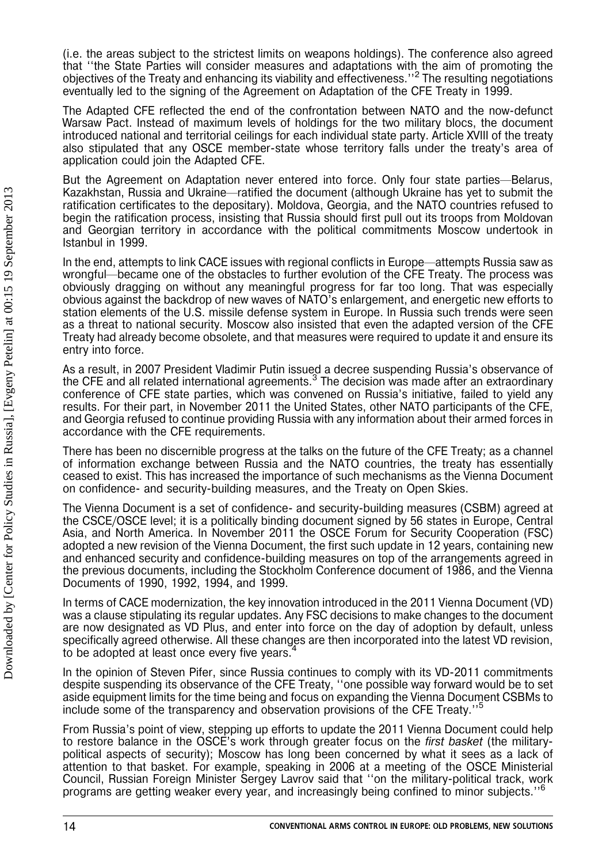(i.e. the areas subject to the strictest limits on weapons holdings). The conference also agreed that ''the State Parties will consider measures and adaptations with the aim of promoting the<br>objectives of the Treaty and enhancing its viability and effectiveness.''<sup>2</sup> The resulting negotiations eventually led to the signing of the Agreement on Adaptation of the CFE Treaty in 1999.

The Adapted CFE reflected the end of the confrontation between NATO and the now-defunct Warsaw Pact. Instead of maximum levels of holdings for the two military blocs, the document introduced national and territorial ceilings for each individual state party. Article XVIII of the treaty also stipulated that any OSCE member-state whose territory falls under the treaty's area of application could join the Adapted CFE.

But the Agreement on Adaptation never entered into force. Only four state parties—Belarus, Kazakhstan, Russia and Ukraine—ratified the document (although Ukraine has yet to submit the ratification certificates to the depositary). Moldova, Georgia, and the NATO countries refused to begin the ratification process, insisting that Russia should first pull out its troops from Moldovan and Georgian territory in accordance with the political commitments Moscow undertook in Istanbul in 1999.

In the end, attempts to link CACE issues with regional conflicts in Europe—attempts Russia saw as wrongful—became one of the obstacles to further evolution of the CFE Treaty. The process was obviously dragging on without any meaningful progress for far too long. That was especially obvious against the backdrop of new waves of NATO's enlargement, and energetic new efforts to station elements of the U.S. missile defense system in Europe. In Russia such trends were seen as a threat to national security. Moscow also insisted that even the adapted version of the CFE Treaty had already become obsolete, and that measures were required to update it and ensure its entry into force.

As a result, in 2007 President Vladimir Putin issued a decree suspending Russia's observance of the CFE and all related international agreements.<sup>3</sup> The decision was made after an extraordinary conference of CFE state parties, which was convened on Russia's initiative, failed to yield any results. For their part, in November 2011 the United States, other NATO participants of the CFE, and Georgia refused to continue providing Russia with any information about their armed forces in accordance with the CFE requirements.

There has been no discernible progress at the talks on the future of the CFE Treaty; as a channel of information exchange between Russia and the NATO countries, the treaty has essentially ceased to exist. This has increased the importance of such mechanisms as the Vienna Document on confidence- and security-building measures, and the Treaty on Open Skies.

The Vienna Document is a set of confidence- and security-building measures (CSBM) agreed at the CSCE/OSCE level; it is a politically binding document signed by 56 states in Europe, Central Asia, and North America. In November 2011 the OSCE Forum for Security Cooperation (FSC) adopted a new revision of the Vienna Document, the first such update in 12 years, containing new and enhanced security and confidence-building measures on top of the arrangements agreed in the previous documents, including the Stockholm Conference document of 1986, and the Vienna Documents of 1990, 1992, 1994, and 1999.

In terms of CACE modernization, the key innovation introduced in the 2011 Vienna Document (VD) was a clause stipulating its regular updates. Any FSC decisions to make changes to the document are now designated as VD Plus, and enter into force on the day of adoption by default, unless specifically agreed otherwise. All these changes are then incorporated into the latest VD revision, to be adopted at least once every five years.

In the opinion of Steven Pifer, since Russia continues to comply with its VD-2011 commitments despite suspending its observance of the CFE Treaty, ''one possible way forward would be to set aside equipment limits for the time being and focus on expanding the Vienna Document CSBMs to include some of the transparency and observation provisions of the CFE Treaty.''<sup>5</sup>

From Russia's point of view, stepping up efforts to update the 2011 Vienna Document could help to restore balance in the OSCE's work through greater focus on the first basket (the militarypolitical aspects of security); Moscow has long been concerned by what it sees as a lack of attention to that basket. For example, speaking in 2006 at a meeting of the OSCE Ministerial Council, Russian Foreign Minister Sergey Lavrov said that ''on the military-political track, work programs are getting weaker every year, and increasingly being confined to minor subjects."<sup>6</sup>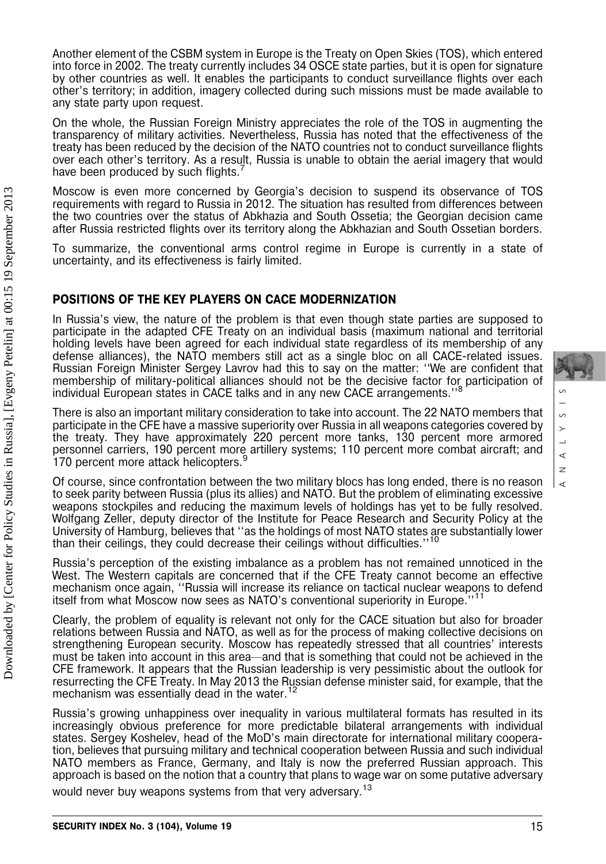Another element of the CSBM system in Europe is the Treaty on Open Skies (TOS), which entered into force in 2002. The treaty currently includes 34 OSCE state parties, but it is open for signature by other countries as well. It enables the participants to conduct surveillance flights over each other's territory; in addition, imagery collected during such missions must be made available to any state party upon request.

On the whole, the Russian Foreign Ministry appreciates the role of the TOS in augmenting the transparency of military activities. Nevertheless, Russia has noted that the effectiveness of the treaty has been reduced by the decision of the NATO countries not to conduct surveillance flights over each other's territory. As a result, Russia is unable to obtain the aerial imagery that would have been produced by such flights.

Moscow is even more concerned by Georgia's decision to suspend its observance of TOS requirements with regard to Russia in 2012. The situation has resulted from differences between the two countries over the status of Abkhazia and South Ossetia; the Georgian decision came after Russia restricted flights over its territory along the Abkhazian and South Ossetian borders.

To summarize, the conventional arms control regime in Europe is currently in a state of uncertainty, and its effectiveness is fairly limited.

#### POSITIONS OF THE KEY PLAYERS ON CACE MODERNIZATION

In Russia's view, the nature of the problem is that even though state parties are supposed to participate in the adapted CFE Treaty on an individual basis (maximum national and territorial holding levels have been agreed for each individual state regardless of its membership of any defense alliances), the NATO members still act as a single bloc on all CACE-related issues. Russian Foreign Minister Sergey Lavrov had this to say on the matter: ''We are confident that membership of military-political alliances should not be the decisive factor for participation of<br>individual European states in CACE talks and in any new CACE arrangements.''<sup>8</sup>

There is also an important military consideration to take into account. The 22 NATO members that participate in the CFE have a massive superiority over Russia in all weapons categories covered by the treaty. They have approximately 220 percent more tanks, 130 percent more armored personnel carriers, 190 percent more artillery systems; 110 percent more combat aircraft; and 170 percent more attack helicopters.

Of course, since confrontation between the two military blocs has long ended, there is no reason to seek parity between Russia (plus its allies) and NATO. But the problem of eliminating excessive weapons stockpiles and reducing the maximum levels of holdings has yet to be fully resolved. Wolfgang Zeller, deputy director of the Institute for Peace Research and Security Policy at the University of Hamburg, believes that ''as the holdings of most NATO states are substantially lower than their ceilings, they could decrease their ceilings without difficulties."<sup>10</sup>

Russia's perception of the existing imbalance as a problem has not remained unnoticed in the West. The Western capitals are concerned that if the CFE Treaty cannot become an effective mechanism once again, ''Russia will increase its reliance on tactical nuclear weapons to defend<br>itself from what Moscow now sees as NATO's conventional superiority in Europe.''<sup>11</sup>

Clearly, the problem of equality is relevant not only for the CACE situation but also for broader relations between Russia and NATO, as well as for the process of making collective decisions on strengthening European security. Moscow has repeatedly stressed that all countries' interests must be taken into account in this area—and that is something that could not be achieved in the CFE framework. It appears that the Russian leadership is very pessimistic about the outlook for resurrecting the CFE Treaty. In May 2013 the Russian defense minister said, for example, that the mechanism was essentially dead in the water.<sup>12</sup>

Russia's growing unhappiness over inequality in various multilateral formats has resulted in its increasingly obvious preference for more predictable bilateral arrangements with individual states. Sergey Koshelev, head of the MoD's main directorate for international military cooperation, believes that pursuing military and technical cooperation between Russia and such individual NATO members as France, Germany, and Italy is now the preferred Russian approach. This approach is based on the notion that a country that plans to wage war on some putative adversary

would never buy weapons systems from that very adversary.<sup>13</sup>

Downloaded by [Center for Policy Studies in Russia], [Evgeny Petelin] at 00:15 19 September 2013 Downloaded by [Center for Policy Studies in Russia], [Evgeny Petelin] at 00:15 19 September 201

ANALYSIS

 $\circ$  $\circ$  $\rightarrow$  $\overline{\phantom{a}}$  $\prec$  $\overline{z}$  $\prec$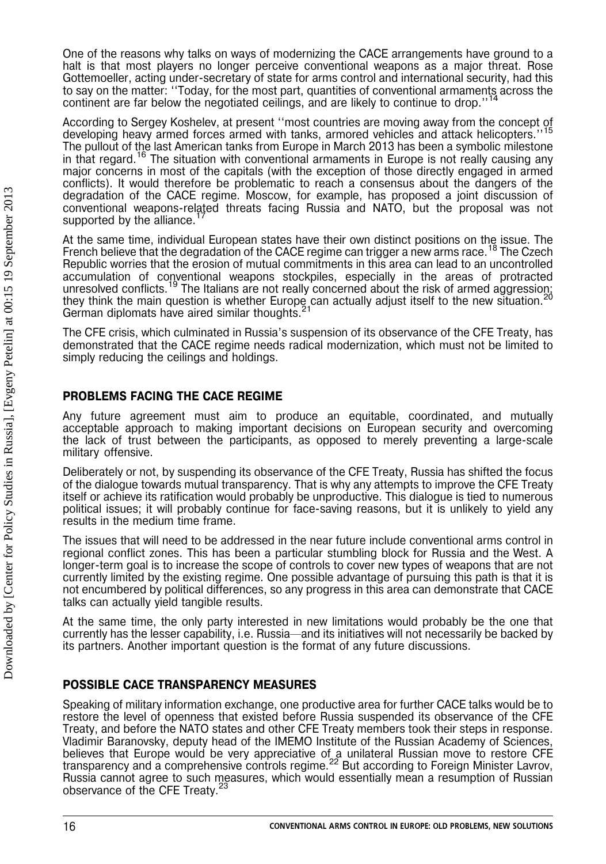One of the reasons why talks on ways of modernizing the CACE arrangements have ground to a halt is that most players no longer perceive conventional weapons as a major threat. Rose Gottemoeller, acting under-secretary of state for arms control and international security, had this to say on the matter: ''Today, for the most part, quantities of conventional armaments across the<br>continent are far below the negotiated ceilings, and are likely to continue to drop.''<sup>14</sup>

According to Sergey Koshelev, at present ''most countries are moving away from the concept of<br>developing heavy armed forces armed with tanks, armored vehicles and attack helicopters.'' <sup>15</sup> The pullout of the last American tanks from Europe in March 2013 has been a symbolic milestone in that regard.<sup>16</sup> The situation with conventional armaments in Europe is not really causing any major concerns in most of the capitals (with the exception of those directly engaged in armed conflicts). It would therefore be problematic to reach a consensus about the dangers of the degradation of the CACE regime. Moscow, for example, has proposed a joint discussion of conventional weapons-related threats facing Russia and NATO, but the proposal was not supported by the alliance.<sup>17</sup>

At the same time, individual European states have their own distinct positions on the issue. The<br>French believe that the degradation of the CACE regime can trigger a new arms race.<sup>18</sup> The Czech Republic worries that the erosion of mutual commitments in this area can lead to an uncontrolled accumulation of conventional weapons stockpiles, especially in the areas of protracted<br>unresolved conflicts.<sup>19</sup> The Italians are not really concerned about the risk of armed aggressio<u>n</u>; they think the main question is whether Europe can actually adjust itself to the new situation. German diplomats have aired similar thoughts.<sup>21</sup>

The CFE crisis, which culminated in Russia's suspension of its observance of the CFE Treaty, has demonstrated that the CACE regime needs radical modernization, which must not be limited to simply reducing the ceilings and holdings.

#### PROBLEMS FACING THE CACE REGIME

Any future agreement must aim to produce an equitable, coordinated, and mutually acceptable approach to making important decisions on European security and overcoming the lack of trust between the participants, as opposed to merely preventing a large-scale military offensive.

Deliberately or not, by suspending its observance of the CFE Treaty, Russia has shifted the focus of the dialogue towards mutual transparency. That is why any attempts to improve the CFE Treaty itself or achieve its ratification would probably be unproductive. This dialogue is tied to numerous political issues; it will probably continue for face-saving reasons, but it is unlikely to yield any results in the medium time frame.

The issues that will need to be addressed in the near future include conventional arms control in regional conflict zones. This has been a particular stumbling block for Russia and the West. A longer-term goal is to increase the scope of controls to cover new types of weapons that are not currently limited by the existing regime. One possible advantage of pursuing this path is that it is not encumbered by political differences, so any progress in this area can demonstrate that CACE talks can actually yield tangible results.

At the same time, the only party interested in new limitations would probably be the one that currently has the lesser capability, i.e. Russia—and its initiatives will not necessarily be backed by its partners. Another important question is the format of any future discussions.

### POSSIBLE CACE TRANSPARENCY MEASURES

Speaking of military information exchange, one productive area for further CACE talks would be to restore the level of openness that existed before Russia suspended its observance of the CFE Treaty, and before the NATO states and other CFE Treaty members took their steps in response. Vladimir Baranovsky, deputy head of the IMEMO Institute of the Russian Academy of Sciences, believes that Europe would be very appreciative of a unilateral Russian move to restore CFE<br>transparency and a comprehensive controls regime.<sup>22</sup> But according to Foreign Minister Lavrov, Russia cannot agree to such measures, which would essentially mean a resumption of Russian observance of the CFE Treaty.<sup>23</sup>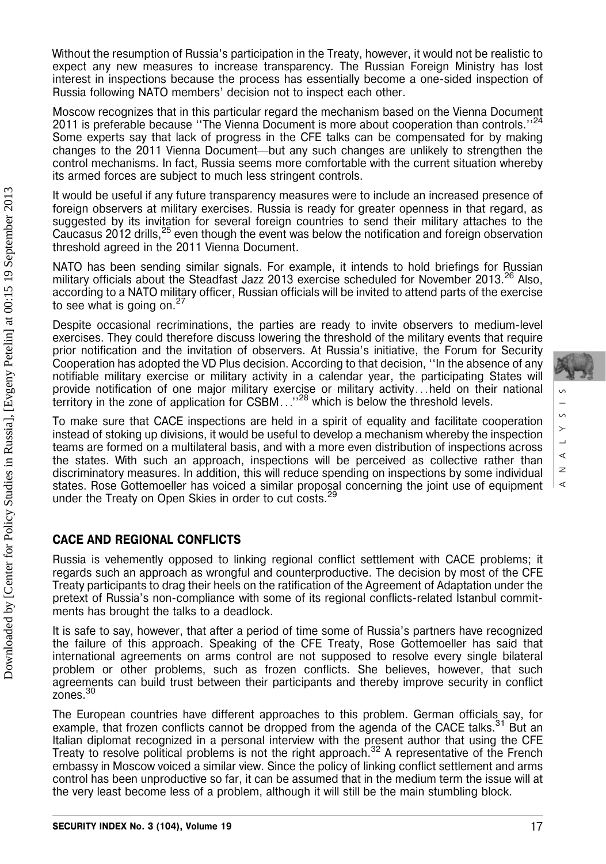Without the resumption of Russia's participation in the Treaty, however, it would not be realistic to expect any new measures to increase transparency. The Russian Foreign Ministry has lost interest in inspections because the process has essentially become a one-sided inspection of Russia following NATO members' decision not to inspect each other.

Moscow recognizes that in this particular regard the mechanism based on the Vienna Document 2011 is preferable because ''The Vienna Document is more about cooperation than controls.''<sup>24</sup> Some experts say that lack of progress in the CFE talks can be compensated for by making changes to the 2011 Vienna Document—but any such changes are unlikely to strengthen the control mechanisms. In fact, Russia seems more comfortable with the current situation whereby its armed forces are subject to much less stringent controls.

It would be useful if any future transparency measures were to include an increased presence of foreign observers at military exercises. Russia is ready for greater openness in that regard, as suggested by its invitation for several foreign countries to send their military attaches to the Caucasus 2012 drills,<sup>25</sup> even though the event was below the notification and foreign observation threshold agreed in the 2011 Vienna Document.

NATO has been sending similar signals. For example, it intends to hold briefings for Russian military officials about the Steadfast Jazz 2013 exercise scheduled for November 2013.<sup>26</sup> Also. according to a NATO military officer, Russian officials will be invited to attend parts of the exercise to see what is going on.<sup>27</sup>

Despite occasional recriminations, the parties are ready to invite observers to medium-level exercises. They could therefore discuss lowering the threshold of the military events that require prior notification and the invitation of observers. At Russia's initiative, the Forum for Security Cooperation has adopted the VD Plus decision. According to that decision, ''In the absence of any notifiable military exercise or military activity in a calendar year, the participating States will provide notification of one major military exercise or military activity…held on their national<br>territory in the zone of application for CSBM…''<sup>28</sup> which is below the threshold levels.

To make sure that CACE inspections are held in a spirit of equality and facilitate cooperation instead of stoking up divisions, it would be useful to develop a mechanism whereby the inspection teams are formed on a multilateral basis, and with a more even distribution of inspections across the states. With such an approach, inspections will be perceived as collective rather than discriminatory measures. In addition, this will reduce spending on inspections by some individual states. Rose Gottemoeller has voiced a similar proposal concerning the joint use of equipment under the Treaty on Open Skies in order to cut costs.<sup>29</sup>

# CACE AND REGIONAL CONFLICTS

Russia is vehemently opposed to linking regional conflict settlement with CACE problems; it regards such an approach as wrongful and counterproductive. The decision by most of the CFE Treaty participants to drag their heels on the ratification of the Agreement of Adaptation under the pretext of Russia's non-compliance with some of its regional conflicts-related Istanbul commitments has brought the talks to a deadlock.

It is safe to say, however, that after a period of time some of Russia's partners have recognized the failure of this approach. Speaking of the CFE Treaty, Rose Gottemoeller has said that international agreements on arms control are not supposed to resolve every single bilateral problem or other problems, such as frozen conflicts. She believes, however, that such agreements can build trust between their participants and thereby improve security in conflict  $zones.<sup>30</sup>$ 

The European countries have different approaches to this problem. German officials say, for example, that frozen conflicts cannot be dropped from the agenda of the CACE talks.<sup>31</sup> But an Italian diplomat recognized in a personal interview with the present author that using the CFE Treaty to resolve political problems is not the right approach.<sup>32</sup> A representative of the French embassy in Moscow voiced a similar view. Since the policy of linking conflict settlement and arms control has been unproductive so far, it can be assumed that in the medium term the issue will at the very least become less of a problem, although it will still be the main stumbling block.

ANALYSIS

 $\sim$  $\circ$  $\rightarrow$  $\overline{\phantom{a}}$  $\prec$  $\overline{z}$  $\vert \prec$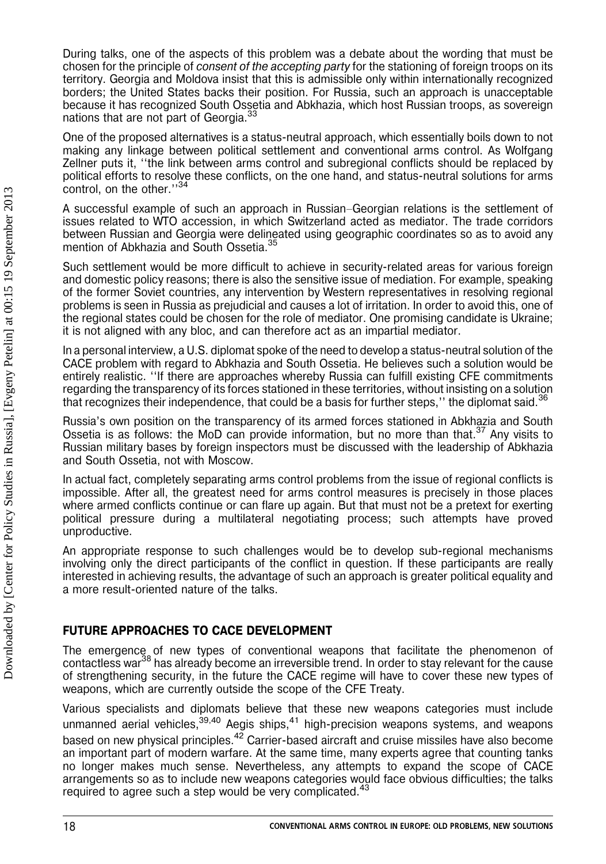During talks, one of the aspects of this problem was a debate about the wording that must be chosen for the principle of consent of the accepting party for the stationing of foreign troops on its territory. Georgia and Moldova insist that this is admissible only within internationally recognized borders; the United States backs their position. For Russia, such an approach is unacceptable because it has recognized South Ossetia and Abkhazia, which host Russian troops, as sovereign nations that are not part of Georgia.<sup>33</sup>

One of the proposed alternatives is a status-neutral approach, which essentially boils down to not making any linkage between political settlement and conventional arms control. As Wolfgang Zellner puts it, ''the link between arms control and subregional conflicts should be replaced by political efforts to resolve these conflicts, on the one hand, and status-neutral solutions for arms control, on the other."<sup>34</sup>

A successful example of such an approach in Russian-Georgian relations is the settlement of issues related to WTO accession, in which Switzerland acted as mediator. The trade corridors between Russian and Georgia were delineated using geographic coordinates so as to avoid any mention of Abkhazia and South Ossetia.<sup>35</sup>

Such settlement would be more difficult to achieve in security-related areas for various foreign and domestic policy reasons; there is also the sensitive issue of mediation. For example, speaking of the former Soviet countries, any intervention by Western representatives in resolving regional problems is seen in Russia as prejudicial and causes a lot of irritation. In order to avoid this, one of the regional states could be chosen for the role of mediator. One promising candidate is Ukraine; it is not aligned with any bloc, and can therefore act as an impartial mediator.

In a personal interview, a U.S. diplomat spoke of the need to develop a status-neutral solution of the CACE problem with regard to Abkhazia and South Ossetia. He believes such a solution would be entirely realistic. ''If there are approaches whereby Russia can fulfill existing CFE commitments regarding the transparency of its forces stationed in these territories, without insisting on a solution that recognizes their independence, that could be a basis for further steps," the diplomat said.<sup>36</sup>

Russia's own position on the transparency of its armed forces stationed in Abkhazia and South Ossetia is as follows: the MoD can provide information, but no more than that. $37$  Anv visits to Russian military bases by foreign inspectors must be discussed with the leadership of Abkhazia and South Ossetia, not with Moscow.

In actual fact, completely separating arms control problems from the issue of regional conflicts is impossible. After all, the greatest need for arms control measures is precisely in those places where armed conflicts continue or can flare up again. But that must not be a pretext for exerting political pressure during a multilateral negotiating process; such attempts have proved unproductive.

An appropriate response to such challenges would be to develop sub-regional mechanisms involving only the direct participants of the conflict in question. If these participants are really interested in achieving results, the advantage of such an approach is greater political equality and a more result-oriented nature of the talks.

### FUTURE APPROACHES TO CACE DEVELOPMENT

The emergence of new types of conventional weapons that facilitate the phenomenon of<br>contactless war<sup>38</sup> has already become an irreversible trend. In order to stay relevant for the cause of strengthening security, in the future the CACE regime will have to cover these new types of weapons, which are currently outside the scope of the CFE Treaty.

Various specialists and diplomats believe that these new weapons categories must include unmanned aerial vehicles,  $39,40$  Aegis ships,  $41$  high-precision weapons systems, and weapons based on new physical principles.<sup>42</sup> Carrier-based aircraft and cruise missiles have also become an important part of modern warfare. At the same time, many experts agree that counting tanks no longer makes much sense. Nevertheless, any attempts to expand the scope of CACE arrangements so as to include new weapons categories would face obvious difficulties; the talks required to agree such a step would be very complicated.<sup>43</sup>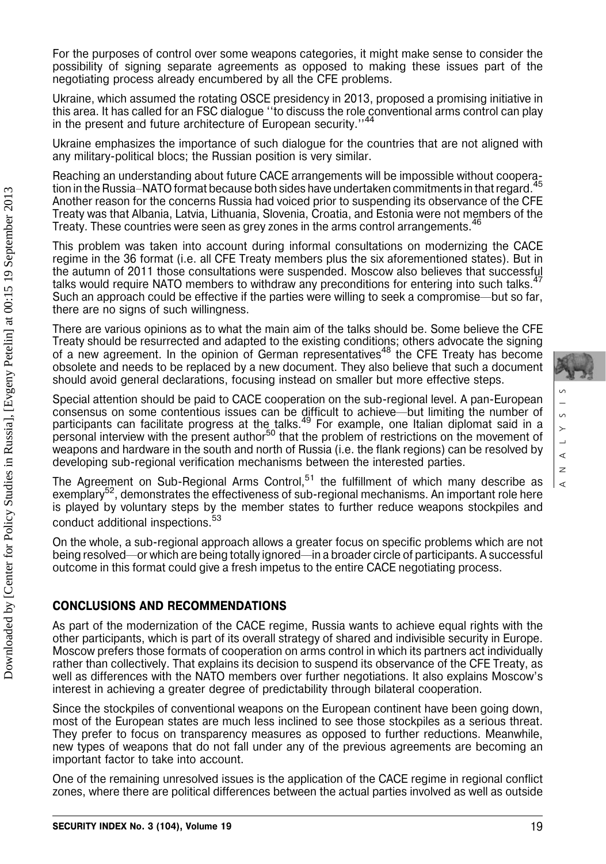Downloaded by [Center for Policy Studies in Russia], [Evgeny Petelin] at 00:15 19 September 2013 Downloaded by [Center for Policy Studies in Russia], [Evgeny Petelin] at 00:15 19 September 2013

For the purposes of control over some weapons categories, it might make sense to consider the possibility of signing separate agreements as opposed to making these issues part of the negotiating process already encumbered by all the CFE problems.

Ukraine, which assumed the rotating OSCE presidency in 2013, proposed a promising initiative in this area. It has called for an FSC dialogue ''to discuss the role conventional arms control can play<br>in the present and future architecture of European security.''<sup>44</sup>

Ukraine emphasizes the importance of such dialogue for the countries that are not aligned with any military-political blocs; the Russian position is very similar.

Reaching an understanding about future CACE arrangements will be impossible without cooperation in the Russia–NATO format because both sides have undertaken commitments in that regard.<sup>45</sup> Another reason for the concerns Russia had voiced prior to suspending its observance of the CFE Treaty was that Albania, Latvia, Lithuania, Slovenia, Croatia, and Estonia were not members of the Treaty. These countries were seen as grey zones in the arms control arrangements.<sup>46</sup>

This problem was taken into account during informal consultations on modernizing the CACE regime in the 36 format (i.e. all CFE Treaty members plus the six aforementioned states). But in the autumn of 2011 those consultations were suspended. Moscow also believes that successful talks would require NATO members to withdraw any preconditions for entering into such talks.<sup>47</sup> Such an approach could be effective if the parties were willing to seek a compromise—but so far, there are no signs of such willingness.

There are various opinions as to what the main aim of the talks should be. Some believe the CFE Treaty should be resurrected and adapted to the existing conditions; others advocate the signing<br>of a new agreement. In the opinion of German representatives<sup>48</sup> the CFE Treaty has become obsolete and needs to be replaced by a new document. They also believe that such a document should avoid general declarations, focusing instead on smaller but more effective steps.

Special attention should be paid to CACE cooperation on the sub-regional level. A pan-European consensus on some contentious issues can be difficult to achieve—but limiting the number of<br>participants can facilitate progress at the talks.<sup>49</sup> For example, one Italian diplomat said in a personal interview with the present author<sup>50</sup> that the problem of restrictions on the movement of weapons and hardware in the south and north of Russia (i.e. the flank regions) can be resolved by developing sub-regional verification mechanisms between the interested parties.

The Agreement on Sub-Regional Arms Control, $51$  the fulfillment of which many describe as exemplary<sup>52</sup>, demonstrates the effectiveness of sub-regional mechanisms. An important role here is played by voluntary steps by the member states to further reduce weapons stockpiles and conduct additional inspections.<sup>53</sup>

On the whole, a sub-regional approach allows a greater focus on specific problems which are not being resolved—or which are being totally ignored—in a broader circle of participants. A successful outcome in this format could give a fresh impetus to the entire CACE negotiating process.

# CONCLUSIONS AND RECOMMENDATIONS

As part of the modernization of the CACE regime, Russia wants to achieve equal rights with the other participants, which is part of its overall strategy of shared and indivisible security in Europe. Moscow prefers those formats of cooperation on arms control in which its partners act individually rather than collectively. That explains its decision to suspend its observance of the CFE Treaty, as well as differences with the NATO members over further negotiations. It also explains Moscow's interest in achieving a greater degree of predictability through bilateral cooperation.

Since the stockpiles of conventional weapons on the European continent have been going down, most of the European states are much less inclined to see those stockpiles as a serious threat. They prefer to focus on transparency measures as opposed to further reductions. Meanwhile, new types of weapons that do not fall under any of the previous agreements are becoming an important factor to take into account.

One of the remaining unresolved issues is the application of the CACE regime in regional conflict zones, where there are political differences between the actual parties involved as well as outside



ANALYSIS

 $\sim$  $\rightarrow$  $\overline{\phantom{a}}$  $\prec$  $\overline{z}$  $\triangleleft$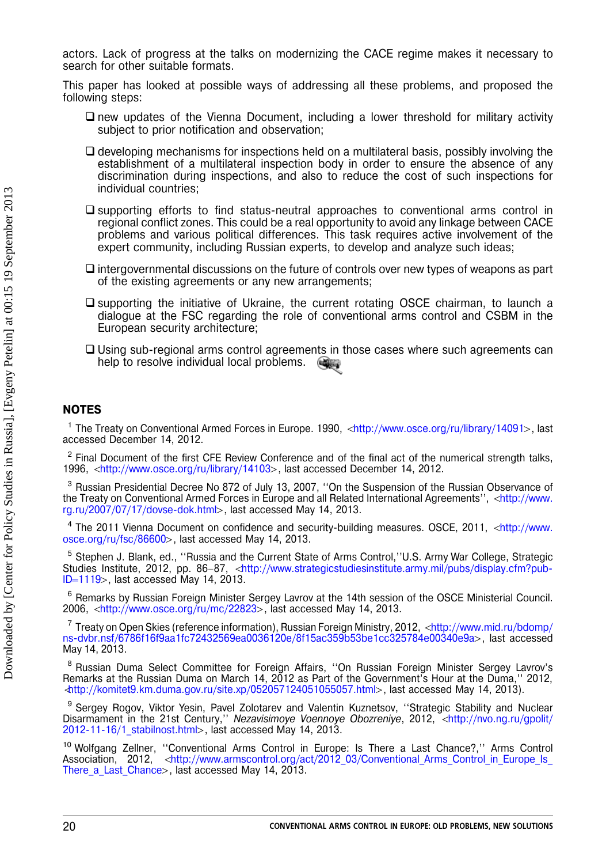actors. Lack of progress at the talks on modernizing the CACE regime makes it necessary to search for other suitable formats.

This paper has looked at possible ways of addressing all these problems, and proposed the following steps:

- $\square$  new updates of the Vienna Document, including a lower threshold for military activity subject to prior notification and observation;
- $\Box$  developing mechanisms for inspections held on a multilateral basis, possibly involving the establishment of a multilateral inspection body in order to ensure the absence of any discrimination during inspections, and also to reduce the cost of such inspections for individual countries;
- $\square$  supporting efforts to find status-neutral approaches to conventional arms control in regional conflict zones. This could be a real opportunity to avoid any linkage between CACE problems and various political differences. This task requires active involvement of the expert community, including Russian experts, to develop and analyze such ideas;
- $\square$  intergovernmental discussions on the future of controls over new types of weapons as part of the existing agreements or any new arrangements;
- $\square$  supporting the initiative of Ukraine, the current rotating OSCE chairman, to launch a dialogue at the FSC regarding the role of conventional arms control and CSBM in the European security architecture;
- $\Box$  Using sub-regional arms control agreements in those cases where such agreements can help to resolve individual local problems.

#### **NOTES**

<sup>1</sup> The Treaty on Conventional Armed Forces in Europe. 1990, <<http://www.osce.org/ru/library/14091>>, last accessed December 14, 2012.

 $2$  Final Document of the first CFE Review Conference and of the final act of the numerical strength talks, 1996, <<http://www.osce.org/ru/library/14103>>, last accessed December 14, 2012.

<sup>3</sup> Russian Presidential Decree No 872 of July 13, 2007, ''On the Suspension of the Russian Observance of the Treaty on Conventional Armed Forces in Europe and all Related International Agreements'', <[http://www.](http://www.rg.ru/2007/07/17/dovse-dok.html) [rg.ru/2007/07/17/dovse-dok.html](http://www.rg.ru/2007/07/17/dovse-dok.html)>, last accessed May 14, 2013.

<sup>4</sup> The 2011 Vienna Document on confidence and security-building measures. OSCE, 2011,  $\text{d}$ [http://www.](http://www.osce.org/ru/fsc/86600) [osce.org/ru/fsc/86600](http://www.osce.org/ru/fsc/86600)>, last accessed May 14, 2013.

<sup>5</sup> Stephen J. Blank, ed., ''Russia and the Current State of Arms Control,''U.S. Army War College, Strategic Studies Institute, 2012, pp. 86–87, ⊲[http://www.strategicstudiesinstitute.army.mil/pubs/display.cfm?pub-](http://www.strategicstudiesinstitute.army.mil/pubs/display.cfm?pubID=1119)[ID](http://www.strategicstudiesinstitute.army.mil/pubs/display.cfm?pubID=1119)=[1119](http://www.strategicstudiesinstitute.army.mil/pubs/display.cfm?pubID=1119)>, last accessed May 14, 2013.

<sup>6</sup> Remarks by Russian Foreign Minister Sergey Lavrov at the 14th session of the OSCE Ministerial Council. 2006, <<http://www.osce.org/ru/mc/22823>>, last accessed May 14, 2013.

 $^7$  Treaty on Open Skies (reference information), Russian Foreign Ministry, 2012, <[http://www.mid.ru/bdomp/](http://www.mid.ru/bdomp/ns-dvbr.nsf/6786f16f9aa1fc72432569ea0036120e/8f15ac359b53be1cc325784e00340e9a) [ns-dvbr.nsf/6786f16f9aa1fc72432569ea0036120e/8f15ac359b53be1cc325784e00340e9a](http://www.mid.ru/bdomp/ns-dvbr.nsf/6786f16f9aa1fc72432569ea0036120e/8f15ac359b53be1cc325784e00340e9a)>, last accessed May 14, 2013.

<sup>8</sup> Russian Duma Select Committee for Foreign Affairs, "On Russian Foreign Minister Sergey Lavrov's Remarks at the Russian Duma on March 14, 2012 as Part of the Government's Hour at the Duma,'' 2012, B<http://komitet9.km.duma.gov.ru/site.xp/052057124051055057.html>-, last accessed May 14, 2013).

<sup>9</sup> Sergey Rogov, Viktor Yesin, Pavel Zolotarev and Valentin Kuznetsov, "Strategic Stability and Nuclear Disarmament in the 21st Century,'' Nezavisimoye Voennoye Obozreniye, 2012, <[http://nvo.ng.ru/gpolit/](http://nvo.ng.ru/gpolit/2012-11-16/1_stabilnost.html) [2012-11-16/1\\_stabilnost.html](http://nvo.ng.ru/gpolit/2012-11-16/1_stabilnost.html)>, last accessed May 14, 2013.

<sup>10</sup> Wolfgang Zellner, "Conventional Arms Control in Europe: Is There a Last Chance?," Arms Control Association, 2012, <[http://www.armscontrol.org/act/2012\\_03/Conventional\\_Arms\\_Control\\_in\\_Europe\\_Is\\_](http://www.armscontrol.org/act/2012_03/Conventional_Arms_Control_in_Europe_Is_There_a_Last_Chance) [There\\_a\\_Last\\_Chance](http://www.armscontrol.org/act/2012_03/Conventional_Arms_Control_in_Europe_Is_There_a_Last_Chance)>, last accessed May 14, 2013.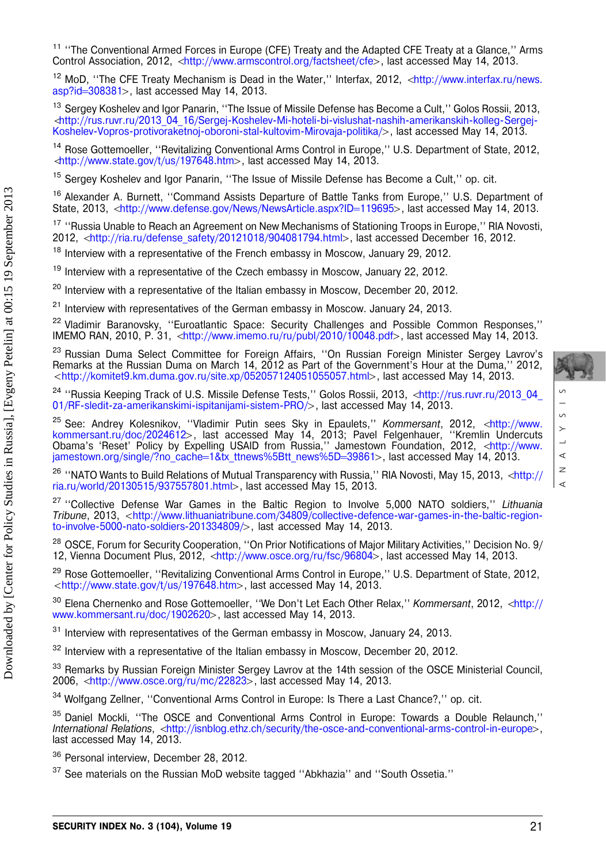<sup>11</sup> "The Conventional Armed Forces in Europe (CFE) Treaty and the Adapted CFE Treaty at a Glance," Arms Control Association, 2012, <<http://www.armscontrol.org/factsheet/cfe>>, last accessed May 14, 2013.

<sup>12</sup> MoD, "The CFE Treaty Mechanism is Dead in the Water," Interfax, 2012,  $\langle$ [http://www.interfax.ru/news.](http://www.interfax.ru/news.asp?id=308381) [asp?id](http://www.interfax.ru/news.asp?id=308381)=[308381](http://www.interfax.ru/news.asp?id=308381)>, last accessed May 14, 2013.

<sup>13</sup> Sergey Koshelev and Igor Panarin, "The Issue of Missile Defense has Become a Cult," Golos Rossii, 2013, B[http://rus.ruvr.ru/2013\\_04\\_16/Sergej-Koshelev-Mi-hoteli-bi-vislushat-nashih-amerikanskih-kolleg-Sergej-](http://rus.ruvr.ru/2013_04_16/Sergej-Koshelev-Mi-hoteli-bi-vislushat-nashih-amerikanskih-kolleg-Sergej-Koshelev-Vopros-protivoraketnoj-oboroni-stal-kultovim-Mirovaja-politika/)[Koshelev-Vopros-protivoraketnoj-oboroni-stal-kultovim-Mirovaja-politika/](http://rus.ruvr.ru/2013_04_16/Sergej-Koshelev-Mi-hoteli-bi-vislushat-nashih-amerikanskih-kolleg-Sergej-Koshelev-Vopros-protivoraketnoj-oboroni-stal-kultovim-Mirovaja-politika/)>, last accessed May 14, 2013.

<sup>14</sup> Rose Gottemoeller, "Revitalizing Conventional Arms Control in Europe," U.S. Department of State, 2012,  $\triangleleft$ <http://www.state.gov/t/us/197648.htm>>, last accessed May 14, 2013.

<sup>15</sup> Sergey Koshelev and Igor Panarin, ''The Issue of Missile Defense has Become a Cult,'' op. cit.

<sup>16</sup> Alexander A. Burnett, "Command Assists Departure of Battle Tanks from Europe," U.S. Department of State, 2013, ≺[http://www.defense.gov/News/NewsArticle.aspx?ID](http://www.defense.gov/News/NewsArticle.aspx?ID=119695)=[119695](http://www.defense.gov/News/NewsArticle.aspx?ID=119695)>, last accessed May 14, 2013.

<sup>17</sup> "Russia Unable to Reach an Agreement on New Mechanisms of Stationing Troops in Europe," RIA Novosti, 2012, ⊲[http://ria.ru/defense\\_safety/20121018/904081794.html](http://ria.ru/defense_safety/20121018/904081794.html)>, last accessed December 16, 2012.

<sup>18</sup> Interview with a representative of the French embassy in Moscow, January 29, 2012.

<sup>19</sup> Interview with a representative of the Czech embassy in Moscow, January 22, 2012.

<sup>20</sup> Interview with a representative of the Italian embassy in Moscow, December 20, 2012.

 $21$  Interview with representatives of the German embassy in Moscow. January 24, 2013.

<sup>22</sup> Vladimir Baranovsky, "Euroatlantic Space: Security Challenges and Possible Common Responses," IMEMO RAN, 2010, P. 31, <<http://www.imemo.ru/ru/publ/2010/10048.pdf>>, last accessed May 14, 2013.

<sup>23</sup> Russian Duma Select Committee for Foreign Affairs, "On Russian Foreign Minister Sergey Lavrov's Remarks at the Russian Duma on March 14, 2012 as Part of the Government's Hour at the Duma,'' 2012, B<http://komitet9.km.duma.gov.ru/site.xp/052057124051055057.html>-, last accessed May 14, 2013.

<sup>24</sup> "Russia Keeping Track of U.S. Missile Defense Tests,'' Golos Rossii, 2013, <[http://rus.ruvr.ru/2013\\_04\\_](http://rus.ruvr.ru/2013_04_01/RF-sledit-za-amerikanskimi-ispitanijami-sistem-PRO/) [01/RF-sledit-za-amerikanskimi-ispitanijami-sistem-PRO/](http://rus.ruvr.ru/2013_04_01/RF-sledit-za-amerikanskimi-ispitanijami-sistem-PRO/)>, last accessed May 14, 2013.

<sup>25</sup> See: Andrey Kolesnikov, "Vladimir Putin sees Sky in Epaulets," Kommersant, 2012, <[http://www.](http://www.kommersant.ru/doc/2024612) [kommersant.ru/doc/2024612](http://www.kommersant.ru/doc/2024612)>,last accessed May 14, 2013; Pavel Felgenhauer, ''Kremlin Undercuts Obama's 'Reset' Policy by Expelling USAID from Russia,'' Jamestown Foundation, 2012, <[http://www.](http://www.jamestown.org/single/?no_cache=1&tx_ttnews%255Btt_news%255D=39861) [jamestown.org/single/?no\\_cache](http://www.jamestown.org/single/?no_cache=1&tx_ttnews%255Btt_news%255D=39861)=[1&tx\\_ttnews%5Btt\\_news%5D](http://www.jamestown.org/single/?no_cache=1&tx_ttnews%255Btt_news%255D=39861)=[39861](http://www.jamestown.org/single/?no_cache=1&tx_ttnews%255Btt_news%255D=39861)>, last accessed May 14, 2013.

 $^{26}$  ''NATO Wants to Build Relations of Mutual Transparency with Russia,'' RIA Novosti, May 15, 2013,  $\braket{\text{http://}}$  $\braket{\text{http://}}$  $\braket{\text{http://}}$ [ria.ru/world/20130515/937557801.html](http://ria.ru/world/20130515/937557801.html)>, last accessed May 15, 2013.

<sup>27</sup> "Collective Defense War Games in the Baltic Region to Involve 5,000 NATO soldiers," Lithuania Tribune, 2013, <[http://www.lithuaniatribune.com/34809/collective-defence-war-games-in-the-baltic-region](http://www.lithuaniatribune.com/34809/collective-defence-war-games-in-the-baltic-region-to-involve-5000-nato-soldiers-201334809/)[to-involve-5000-nato-soldiers-201334809/](http://www.lithuaniatribune.com/34809/collective-defence-war-games-in-the-baltic-region-to-involve-5000-nato-soldiers-201334809/)>, last accessed May 14, 2013.

<sup>28</sup> OSCE, Forum for Security Cooperation, "On Prior Notifications of Major Military Activities," Decision No. 9/ 12, Vienna Document Plus, 2012, <<http://www.osce.org/ru/fsc/96804>>, last accessed May 14, 2013.

<sup>29</sup> Rose Gottemoeller, "Revitalizing Conventional Arms Control in Europe," U.S. Department of State, 2012,  $\lt$ <http://www.state.gov/t/us/197648.htm>>, last accessed May 14, 2013.

<sup>30</sup> Elena Chernenko and Rose Gottemoeller, "We Don't Let Each Other Relax," Kommersant, 2012, <[http://](http://www.kommersant.ru/doc/1902620) [www.kommersant.ru/doc/1902620](http://www.kommersant.ru/doc/1902620)>, last accessed May 14, 2013.

 $31$  Interview with representatives of the German embassy in Moscow, January 24, 2013.

 $32$  Interview with a representative of the Italian embassy in Moscow, December 20, 2012.

 $33$  Remarks by Russian Foreign Minister Sergey Lavrov at the 14th session of the OSCE Ministerial Council, 2006, ⊲<http://www.osce.org/ru/mc/22823>>, last accessed May 14, 2013.

<sup>34</sup> Wolfgang Zellner, "Conventional Arms Control in Europe: Is There a Last Chance?," op. cit.

<sup>35</sup> Daniel Mockli, ''The OSCE and Conventional Arms Control in Europe: Towards a Double Relaunch,'' International Relations, ⊲<http://isnblog.ethz.ch/security/the-osce-and-conventional-arms-control-in-europe>>, last accessed May 14, 2013.

36 Personal interview, December 28, 2012.

 $37$  See materials on the Russian MoD website tagged "Abkhazia" and "South Ossetia."

ANALYSIS  $\sqrt{ }$  $\rightarrow$  $\overline{\phantom{a}}$  $\prec$  $\overline{z}$  $\vert$   $\lhd$ 

 $\circ$